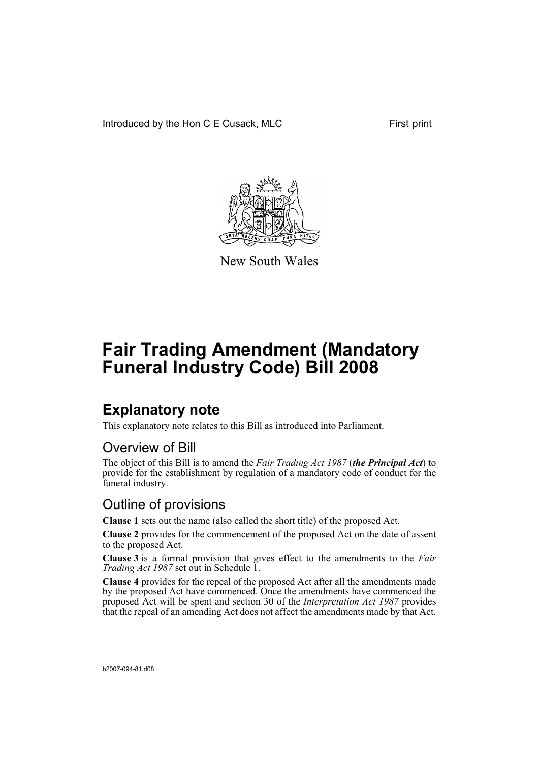Introduced by the Hon C E Cusack, MLC First print



New South Wales

# **Fair Trading Amendment (Mandatory Funeral Industry Code) Bill 2008**

### **Explanatory note**

This explanatory note relates to this Bill as introduced into Parliament.

#### Overview of Bill

The object of this Bill is to amend the *Fair Trading Act 1987* (*the Principal Act*) to provide for the establishment by regulation of a mandatory code of conduct for the funeral industry.

#### Outline of provisions

**Clause 1** sets out the name (also called the short title) of the proposed Act.

**Clause 2** provides for the commencement of the proposed Act on the date of assent to the proposed Act.

**Clause 3** is a formal provision that gives effect to the amendments to the *Fair Trading Act 1987* set out in Schedule 1.

**Clause 4** provides for the repeal of the proposed Act after all the amendments made by the proposed Act have commenced. Once the amendments have commenced the proposed Act will be spent and section 30 of the *Interpretation Act 1987* provides that the repeal of an amending Act does not affect the amendments made by that Act.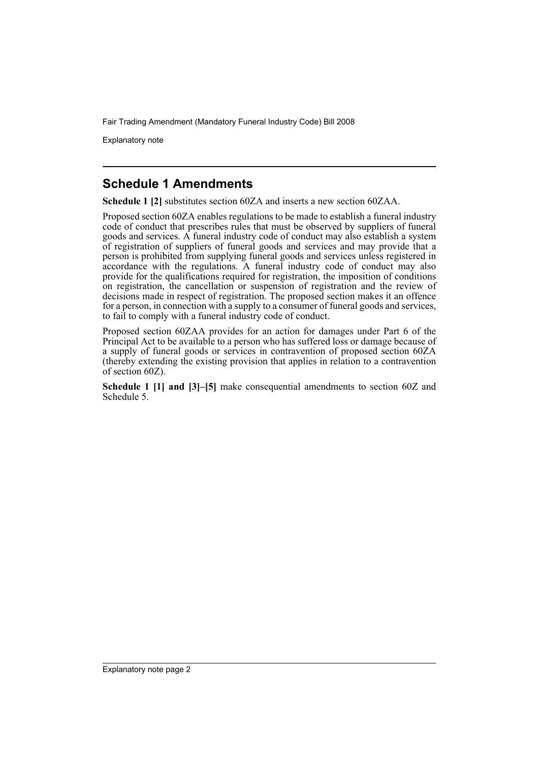Fair Trading Amendment (Mandatory Funeral Industry Code) Bill 2008

Explanatory note

#### **Schedule 1 Amendments**

**Schedule 1 [2]** substitutes section 60ZA and inserts a new section 60ZAA.

Proposed section 60ZA enables regulations to be made to establish a funeral industry code of conduct that prescribes rules that must be observed by suppliers of funeral goods and services. A funeral industry code of conduct may also establish a system of registration of suppliers of funeral goods and services and may provide that a person is prohibited from supplying funeral goods and services unless registered in accordance with the regulations. A funeral industry code of conduct may also provide for the qualifications required for registration, the imposition of conditions on registration, the cancellation or suspension of registration and the review of decisions made in respect of registration. The proposed section makes it an offence for a person, in connection with a supply to a consumer of funeral goods and services, to fail to comply with a funeral industry code of conduct.

Proposed section 60ZAA provides for an action for damages under Part 6 of the Principal Act to be available to a person who has suffered loss or damage because of a supply of funeral goods or services in contravention of proposed section 60ZA (thereby extending the existing provision that applies in relation to a contravention of section 60Z).

**Schedule 1 [1] and [3]–[5]** make consequential amendments to section 60Z and Schedule 5.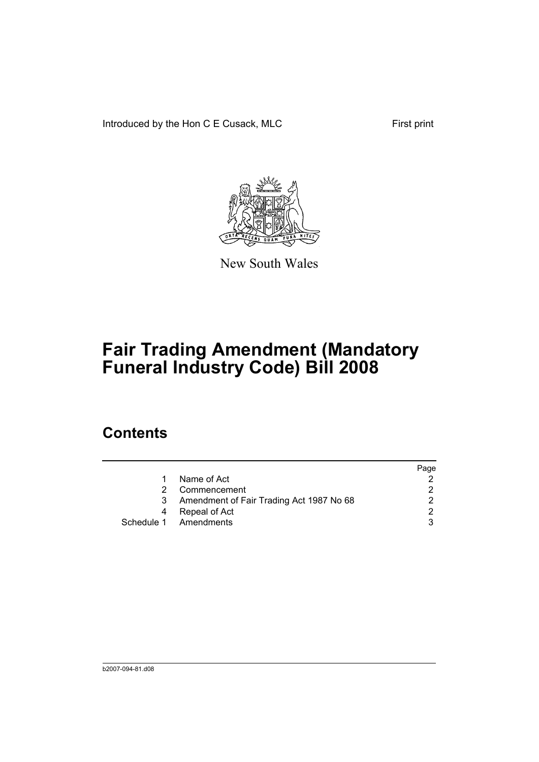Introduced by the Hon C E Cusack, MLC First print



New South Wales

# **Fair Trading Amendment (Mandatory Funeral Industry Code) Bill 2008**

### **Contents**

|    |                                          | Page |
|----|------------------------------------------|------|
| 1. | Name of Act                              |      |
| 2. | Commencement                             |      |
| 3  | Amendment of Fair Trading Act 1987 No 68 |      |
| 4  | Repeal of Act                            | າ    |
|    | Schedule 1 Amendments                    |      |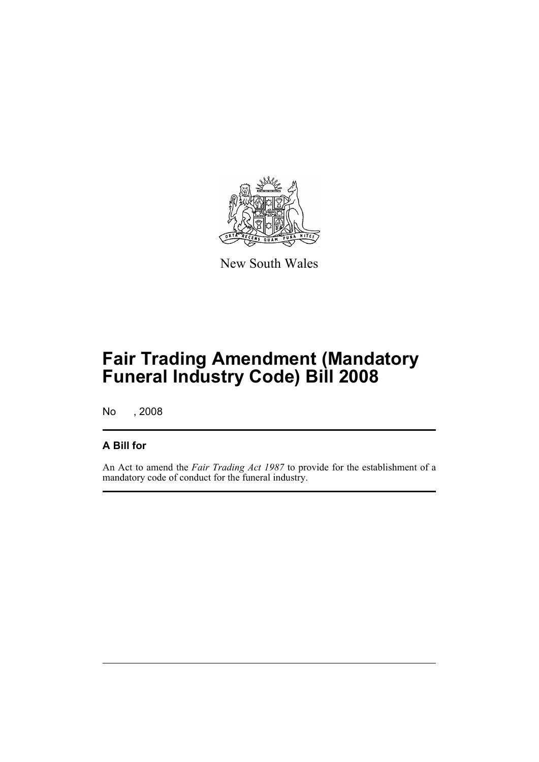

New South Wales

## **Fair Trading Amendment (Mandatory Funeral Industry Code) Bill 2008**

No , 2008

#### **A Bill for**

An Act to amend the *Fair Trading Act 1987* to provide for the establishment of a mandatory code of conduct for the funeral industry.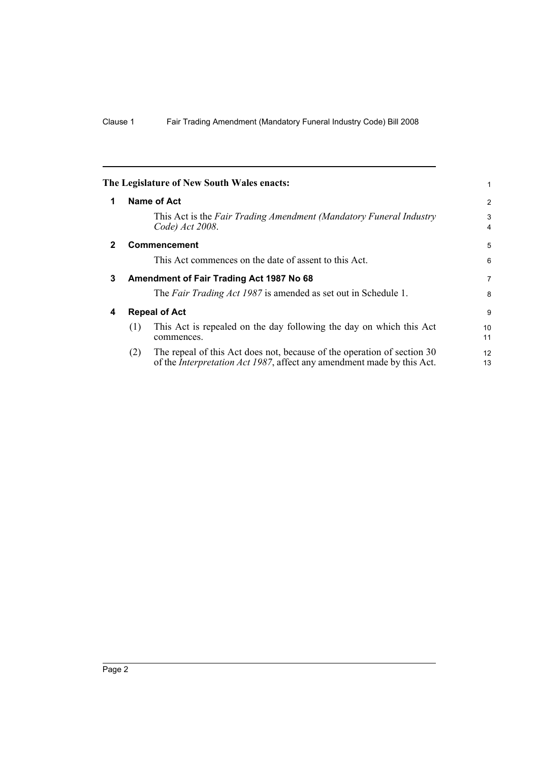<span id="page-5-3"></span><span id="page-5-2"></span><span id="page-5-1"></span><span id="page-5-0"></span>

|              |                      | The Legislature of New South Wales enacts:                                                                                                                | 1                   |
|--------------|----------------------|-----------------------------------------------------------------------------------------------------------------------------------------------------------|---------------------|
| 1            |                      | <b>Name of Act</b>                                                                                                                                        | $\overline{2}$      |
|              |                      | This Act is the Fair Trading Amendment (Mandatory Funeral Industry<br>Code) Act 2008.                                                                     | 3<br>$\overline{4}$ |
| $\mathbf{2}$ |                      | <b>Commencement</b>                                                                                                                                       | 5                   |
|              |                      | This Act commences on the date of assent to this Act.                                                                                                     | 6                   |
| 3            |                      | Amendment of Fair Trading Act 1987 No 68                                                                                                                  | $\overline{7}$      |
|              |                      | The Fair Trading Act 1987 is amended as set out in Schedule 1.                                                                                            | 8                   |
| 4            | <b>Repeal of Act</b> |                                                                                                                                                           |                     |
|              | (1)                  | This Act is repealed on the day following the day on which this Act<br>commences.                                                                         | 10<br>11            |
|              | (2)                  | The repeal of this Act does not, because of the operation of section 30<br>of the <i>Interpretation Act 1987</i> , affect any amendment made by this Act. | 12<br>13            |
|              |                      |                                                                                                                                                           |                     |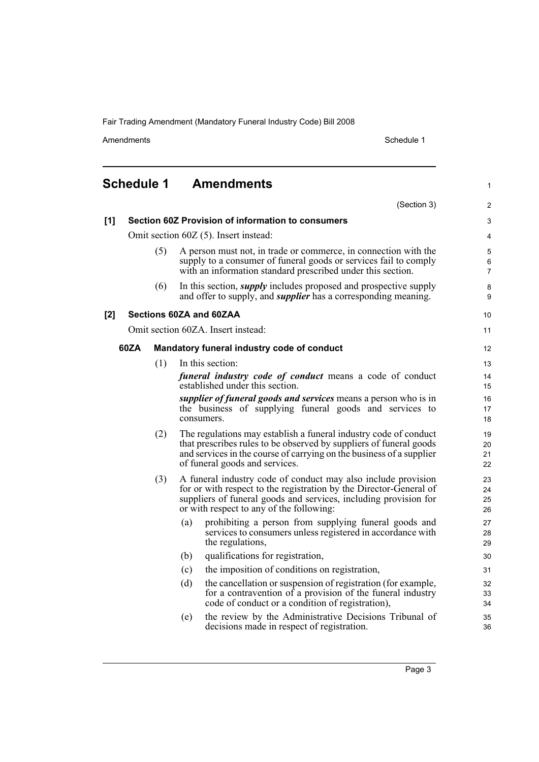Fair Trading Amendment (Mandatory Funeral Industry Code) Bill 2008

Amendments Schedule 1

1

## <span id="page-6-0"></span>**Schedule 1 Amendments**

|     |      |     | (Section 3)                                                                                                                                                                                                                                         | $\overline{2}$           |
|-----|------|-----|-----------------------------------------------------------------------------------------------------------------------------------------------------------------------------------------------------------------------------------------------------|--------------------------|
| [1] |      |     | Section 60Z Provision of information to consumers                                                                                                                                                                                                   | 3                        |
|     |      |     | Omit section 60Z (5). Insert instead:                                                                                                                                                                                                               | 4                        |
|     |      | (5) | A person must not, in trade or commerce, in connection with the<br>supply to a consumer of funeral goods or services fail to comply<br>with an information standard prescribed under this section.                                                  | 5<br>6<br>$\overline{7}$ |
|     |      | (6) | In this section, <i>supply</i> includes proposed and prospective supply<br>and offer to supply, and <i>supplier</i> has a corresponding meaning.                                                                                                    | 8<br>9                   |
| [2] |      |     | Sections 60ZA and 60ZAA                                                                                                                                                                                                                             | 10                       |
|     |      |     | Omit section 60ZA. Insert instead:                                                                                                                                                                                                                  | 11                       |
|     | 60ZA |     | Mandatory funeral industry code of conduct                                                                                                                                                                                                          | 12                       |
|     |      | (1) | In this section:                                                                                                                                                                                                                                    | 13                       |
|     |      |     | <i>funeral industry code of conduct</i> means a code of conduct<br>established under this section.                                                                                                                                                  | 14<br>15                 |
|     |      |     | supplier of funeral goods and services means a person who is in<br>the business of supplying funeral goods and services to<br>consumers.                                                                                                            | 16<br>17<br>18           |
|     |      | (2) | The regulations may establish a funeral industry code of conduct<br>that prescribes rules to be observed by suppliers of funeral goods<br>and services in the course of carrying on the business of a supplier<br>of funeral goods and services.    | 19<br>20<br>21<br>22     |
|     |      | (3) | A funeral industry code of conduct may also include provision<br>for or with respect to the registration by the Director-General of<br>suppliers of funeral goods and services, including provision for<br>or with respect to any of the following: | 23<br>24<br>25<br>26     |
|     |      |     | prohibiting a person from supplying funeral goods and<br>(a)<br>services to consumers unless registered in accordance with<br>the regulations,                                                                                                      | 27<br>28<br>29           |
|     |      |     | qualifications for registration,<br>(b)                                                                                                                                                                                                             | 30                       |
|     |      |     | the imposition of conditions on registration,<br>(c)                                                                                                                                                                                                | 31                       |
|     |      |     | (d)<br>the cancellation or suspension of registration (for example,<br>for a contravention of a provision of the funeral industry<br>code of conduct or a condition of registration),                                                               | 32<br>33<br>34           |
|     |      |     | the review by the Administrative Decisions Tribunal of<br>(e)<br>decisions made in respect of registration.                                                                                                                                         | 35<br>36                 |
|     |      |     |                                                                                                                                                                                                                                                     |                          |